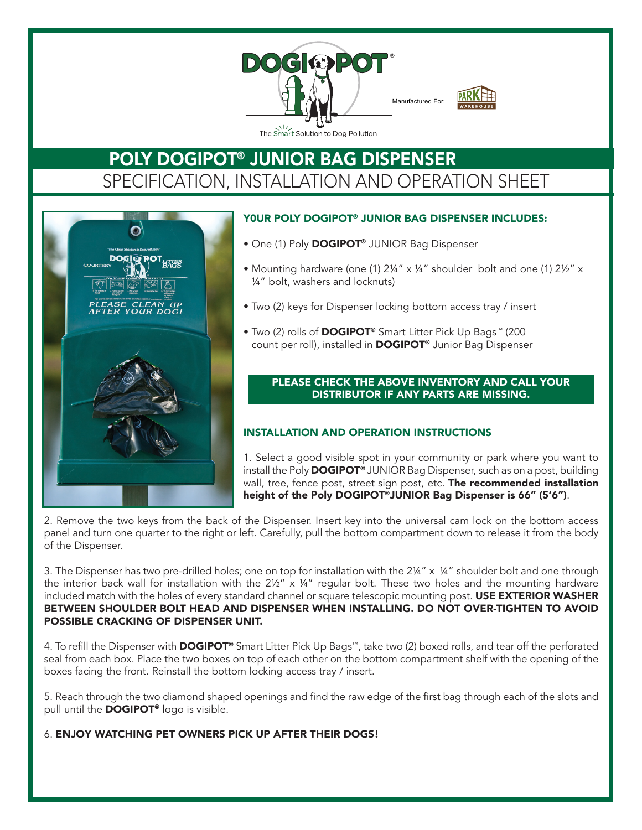

# **DOGIPOT® TELESCOPING POST (ITEM 1301-P)** POLY DOGIPOT® JUNIOR BAG DISPENSER SPECIFICATION, INSTALLATION AND OPERATION SHEET



## Y0ur POLY DOGIPOT® JUNIOR BAG DISPENSER INcLuDES:

- One (1) Poly **DOGIPOT®** JUNIOR Bag Dispenser
- Mounting hardware (one (1) 2¼" x ¼" shoulder bolt and one (1) 2½" x ¼" bolt, washers and locknuts)
- Two (2) keys for Dispenser locking bottom access tray / insert
- Two (2) rolls of **DOGIPOT®** Smart Litter Pick Up Bags™ (200 count per roll), installed in DOGIPOT® Junior Bag Dispenser

#### PLEASE CHECK THE ABOVE INVENTORY AND CALL YOUR DISTRIBUTOR IF ANY PARTS ARE MISSING.

### INSTALLATION AND OPErATION INSTrucTIONS

1. Select a good visible spot in your community or park where you want to install the Poly **DOGIPOT®** JUNIOR Bag Dispenser, such as on a post, building wall, tree, fence post, street sign post, etc. The recommended installation height of the Poly DOGIPOT®JUNIOR Bag Dispenser is 66" (5'6").

2. Remove the two keys from the back of the Dispenser. Insert key into the universal cam lock on the bottom access panel and turn one quarter to the right or left. Carefully, pull the bottom compartment down to release it from the body of the Dispenser.

3. The Dispenser has two pre-drilled holes; one on top for installation with the 2¼" x ¼" shoulder bolt and one through the interior back wall for installation with the  $2\frac{1}{2}$  x  $\frac{1}{4}$ " regular bolt. These two holes and the mounting hardware included match with the holes of every standard channel or square telescopic mounting post. USE EXTERIOR WASHER BETWEEN SHOULDER BOLT HEAD AND DISPENSER WHEN INSTALLING. DO NOT OVER-TIGHTEN TO AVOID POSSIBLE CRACKING OF DISPENSER UNIT.

4. To refill the Dispenser with **DOGIPOT®** Smart Litter Pick Up Bags™, take two (2) boxed rolls, and tear off the perforated seal from each box. Place the two boxes on top of each other on the bottom compartment shelf with the opening of the boxes facing the front. Reinstall the bottom locking access tray / insert.

5. Reach through the two diamond shaped openings and find the raw edge of the first bag through each of the slots and pull until the **DOGIPOT®** logo is visible.

6. ENJOY WATCHING PET OWNERS PICK UP AFTER THEIR DOGS!